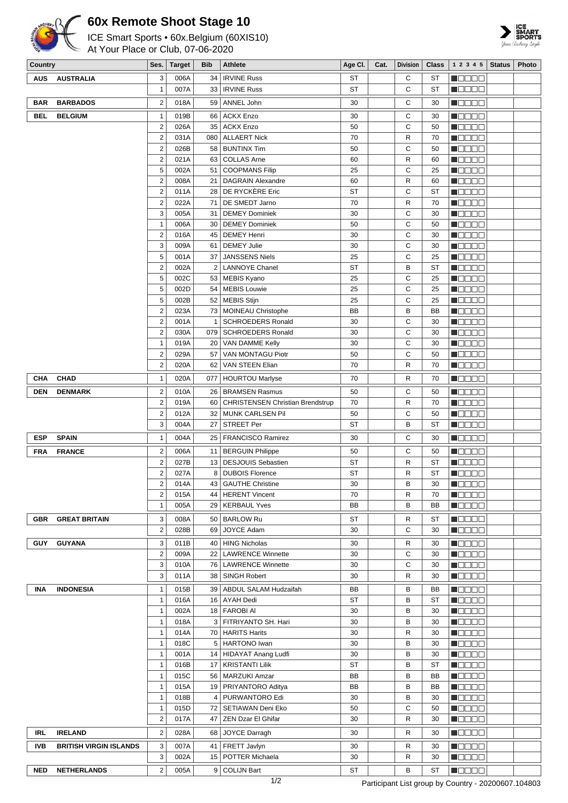

## **60x Remote Shoot Stage 10**

ICE Smart Sports • 60x.Belgium (60XIS10)

At Your Place or Club, 07-06-2020



| Country    |                               | Ses.                    | <b>Target</b> | Bib          | Athlete                                      | Age Cl.   | Cat. | <b>Division</b> | <b>Class</b> | 1 2 3 4 5                                                   | <b>Status</b> | Photo |
|------------|-------------------------------|-------------------------|---------------|--------------|----------------------------------------------|-----------|------|-----------------|--------------|-------------------------------------------------------------|---------------|-------|
| <b>AUS</b> | <b>AUSTRALIA</b>              | 3                       | 006A          | 34           | <b>IRVINE Russ</b>                           | <b>ST</b> |      | C               | ST           | Me E E E                                                    |               |       |
|            |                               | 1                       | 007A          |              | 33   IRVINE Russ                             | ST        |      | C               | ST           | HOOOO                                                       |               |       |
| <b>BAR</b> | <b>BARBADOS</b>               | $\overline{2}$          | 018A          |              | 59   ANNEL John                              | 30        |      | С               | 30           | MOODE.                                                      |               |       |
| <b>BEL</b> | <b>BELGIUM</b>                | 1                       | 019B          | 66           | <b>ACKX Enzo</b>                             | 30        |      | C               | 30           | N DE ER                                                     |               |       |
|            |                               | $\overline{2}$          | 026A          | 35           | <b>ACKX Enzo</b>                             | 50        |      | C               | 50           | n de ele                                                    |               |       |
|            |                               | $\overline{2}$          | 031A          | 080          | <b>ALLAERT Nick</b>                          | 70        |      | R               | 70           | maaaa                                                       |               |       |
|            |                               | $\overline{c}$          | 026B          |              | 58   BUNTINX Tim                             | 50        |      | C               | 50           | N DE E E                                                    |               |       |
|            |                               | $\overline{c}$          | 021A          |              | 63   COLLAS Arne                             | 60        |      | $\mathsf{R}$    | 60           | 8000                                                        |               |       |
|            |                               | 5                       | 002A          | 51           | <b>COOPMANS Filip</b>                        | 25        |      | C               | 25           | Maaaa                                                       |               |       |
|            |                               | $\overline{2}$          | 008A          |              | 21   DAGRAIN Alexandre                       | 60        |      | $\mathsf{R}$    | 60           | n oo oo                                                     |               |       |
|            |                               | $\overline{\mathbf{c}}$ | 011A          |              | 28 DE RYCKÈRE Eric                           | <b>ST</b> |      | C               | ST           | N O D O O                                                   |               |       |
|            |                               | $\overline{\mathbf{c}}$ | 022A          | 71           | DE SMEDT Jarno                               | 70        |      | R               | 70           | N O O O O                                                   |               |       |
|            |                               | 3<br>$\mathbf{1}$       | 005A<br>006A  | 31 I         | <b>DEMEY Dominiek</b><br>30   DEMEY Dominiek | 30<br>50  |      | C<br>C          | 30<br>50     | <b>MODOO</b>                                                |               |       |
|            |                               | $\overline{2}$          | 016A          |              | 45   DEMEY Henri                             | 30        |      | C               | 30           | NOOOO<br>N DE E E                                           |               |       |
|            |                               | 3                       | 009A          | 61           | <b>DEMEY Julie</b>                           | 30        |      | C               | 30           | n de eo                                                     |               |       |
|            |                               | 5                       | 001A          | 37           | <b>JANSSENS Niels</b>                        | 25        |      | C               | 25           | Maaaa                                                       |               |       |
|            |                               | $\overline{\mathbf{c}}$ | 002A          |              | 2   LANNOYE Chanel                           | ST        |      | B               | <b>ST</b>    | N OO OO                                                     |               |       |
|            |                               | 5                       | 002C          |              | 53   MEBIS Kyano                             | 25        |      | C               | 25           | N DE SE                                                     |               |       |
|            |                               | 5                       | 002D          |              | 54   MEBIS Louwie                            | 25        |      | C               | 25           | n de de                                                     |               |       |
|            |                               | 5                       | 002B          | 52           | <b>MEBIS Stijn</b>                           | 25        |      | C               | 25           | M OO OO                                                     |               |       |
|            |                               | $\overline{2}$          | 023A          |              | 73   MOINEAU Christophe                      | BB        |      | B               | BB           | M OO OO                                                     |               |       |
|            |                               | $\overline{\mathbf{c}}$ | 001A          | $\mathbf{1}$ | <b>SCHROEDERS Ronald</b>                     | 30        |      | C               | 30           | N DE E E                                                    |               |       |
|            |                               | $\overline{2}$          | 030A          |              | 079   SCHROEDERS Ronald                      | 30        |      | C               | 30           | 8000                                                        |               |       |
|            |                               | $\mathbf{1}$            | 019A          |              | 20   VAN DAMME Kelly                         | 30        |      | $\mathsf{C}$    | 30           | M DE E E                                                    |               |       |
|            |                               | $\mathbf 2$             | 029A          |              | 57   VAN MONTAGU Piotr                       | 50        |      | C               | 50           | NOOOO                                                       |               |       |
|            |                               | $\overline{\mathbf{c}}$ | 020A          | 62           | VAN STEEN Elian                              | 70        |      | R               | 70           | $\blacksquare$ $\square$ $\square$ $\square$                |               |       |
| CHA        | <b>CHAD</b>                   | 1                       | 020A          |              | 077   HOURTOU Marlyse                        | 70        |      | R               | 70           | N O O O O                                                   |               |       |
| <b>DEN</b> | <b>DENMARK</b>                | 2                       | 010A          |              | 26   BRAMSEN Rasmus                          | 50        |      | C               | 50           | n da a a                                                    |               |       |
|            |                               | 2                       | 019A          |              | 60   CHRISTENSEN Christian Brendstrup        | 70        |      | R               | 70           | <b>M</b> OO OO                                              |               |       |
|            |                               | $\overline{\mathbf{c}}$ | 012A          |              | 32   MUNK CARLSEN Pil                        | 50        |      | C               | 50           | N DE E E                                                    |               |       |
|            |                               | 3                       | 004A          | 27           | <b>STREET Per</b>                            | ST        |      | B               | ST           | <u>Maaaa</u>                                                |               |       |
| <b>ESP</b> | <b>SPAIN</b>                  | $\mathbf{1}$            | 004A          | 25           | <b>FRANCISCO Ramirez</b>                     | 30        |      | C               | 30           | <b>MEDBER</b>                                               |               |       |
| <b>FRA</b> | <b>FRANCE</b>                 | 2                       | 006A          |              | 11   BERGUIN Philippe                        | 50        |      | C               | 50           | N DE BEL                                                    |               |       |
|            |                               | $\overline{\mathbf{c}}$ | 027B          |              | 13   DESJOUIS Sebastien                      | ST        |      | R               | ST           | n de de                                                     |               |       |
|            |                               | $\overline{2}$          | 027A          |              | 8   DUBOIS Florence                          | ST        |      | R               | <b>ST</b>    | M B B B B                                                   |               |       |
|            |                               | $\overline{2}$          | 014A          | 43           | <b>GAUTHE Christine</b>                      | $30\,$    |      | В               | 30           | $\blacksquare$                                              |               |       |
|            |                               | 2                       | 015A          |              | 44   HERENT Vincent                          | 70        |      | R<br>B          | 70           | $\blacksquare$ $\square$ $\square$ $\square$                |               |       |
|            |                               | 1                       | 005A          |              | 29   KERBAUL Yves                            | ВB        |      |                 | ВB           | N E BEL                                                     |               |       |
|            | <b>GBR GREAT BRITAIN</b>      | 3                       | 008A          |              | 50   BARLOW Ru                               | ST        |      | R               | ST           | N DE EL                                                     |               |       |
|            |                               | $\overline{\mathbf{c}}$ | 028B          |              | 69   JOYCE Adam                              | 30        |      | C               | 30           | N OO OO                                                     |               |       |
| <b>GUY</b> | <b>GUYANA</b>                 | 3                       | 011B          |              | 40   HING Nicholas                           | 30        |      | R               | 30           | N BE BE                                                     |               |       |
|            |                               | 2                       | 009A          |              | 22   LAWRENCE Winnette                       | 30        |      | C               | 30           | <u>s oo oo</u>                                              |               |       |
|            |                               | 3<br>3                  | 010A          |              | 76   LAWRENCE Winnette<br>38   SINGH Robert  | 30<br>30  |      | C<br>R          | 30<br>30     | <b>M</b> ODOO                                               |               |       |
|            |                               |                         | 011A          |              |                                              |           |      |                 |              | $\blacksquare$ $\square$ $\square$ $\square$                |               |       |
| INA        | <b>INDONESIA</b>              | 1                       | 015B          |              | 39   ABDUL SALAM Hudzaifah                   | BB        |      | в               | ВB           | n da a a                                                    |               |       |
|            |                               | 1<br>1                  | 016A<br>002A  |              | 16   AYAH Dedi<br>18   FAROBI AI             | ST<br>30  |      | B<br>В          | ST<br>30     | <b>M</b> OOOO<br>N SE SE                                    |               |       |
|            |                               | 1                       | 018A          |              | 3   FITRIYANTO SH. Hari                      | 30        |      | B               | 30           | M O O O O                                                   |               |       |
|            |                               | 1                       | 014A          |              | 70   HARITS Harits                           | 30        |      | R               | 30           | HOOOO                                                       |               |       |
|            |                               | 1                       | 018C          |              | 5   HARTONO Iwan                             | 30        |      | B               | 30           | $\blacksquare$ $\square$ $\square$ $\square$                |               |       |
|            |                               | 1                       | 001A          |              | 14   HIDAYAT Anang Ludfi                     | 30        |      | B               | 30           | N BE BE                                                     |               |       |
|            |                               | 1                       | 016B          |              | 17   KRISTANTI Lilik                         | ST        |      | в               | ST           | M OO DO                                                     |               |       |
|            |                               | 1                       | 015C          |              | 56   MARZUKI Amzar                           | ВB        |      | в               | ВB           | N OO OO U                                                   |               |       |
|            |                               | 1                       | 015A          |              | 19   PRIYANTORO Aditya                       | ВB        |      | в               | BB           | <b>M</b> OOOO                                               |               |       |
|            |                               | 1                       | 018B          |              | 4   PURWANTORO Edi                           | 30        |      | B               | 30           | $\blacksquare$                                              |               |       |
|            |                               | 1                       | 015D          |              | 72   SETIAWAN Deni Eko                       | 50        |      | C               | 50           | <b>MODOO</b>                                                |               |       |
|            |                               | 2                       | 017A          |              | 47   ZEN Dzar El Ghifar                      | 30        |      | R               | 30           | $\blacksquare$ $\blacksquare$ $\blacksquare$ $\blacksquare$ |               |       |
| IRL        | <b>IRELAND</b>                | $\overline{2}$          | 028A          |              | 68   JOYCE Darragh                           | 30        |      | R               | 30           | M B B B B B                                                 |               |       |
| IVB        | <b>BRITISH VIRGIN ISLANDS</b> | 3                       | 007A          |              | 41   FRETT Javlyn                            | 30        |      | R               | 30           | <b>Nedec</b>                                                |               |       |
|            |                               | 3                       | 002A          |              | 15   POTTER Michaela                         | 30        |      | R               | 30           | M OO OO                                                     |               |       |
|            | <b>NED NETHERLANDS</b>        | $\overline{2}$          | 005A          |              | 9 COLIJN Bart                                | <b>ST</b> |      | B               | ST           | <b>NODDE</b>                                                |               |       |